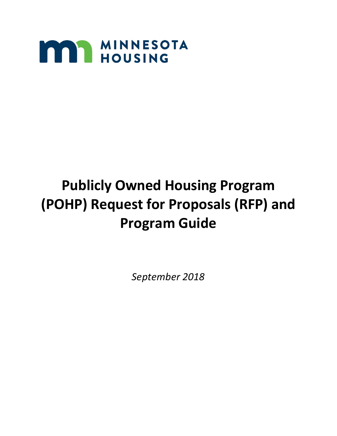

# **Publicly Owned Housing Program (POHP) Request for Proposals (RFP) and Program Guide**

*September 2018*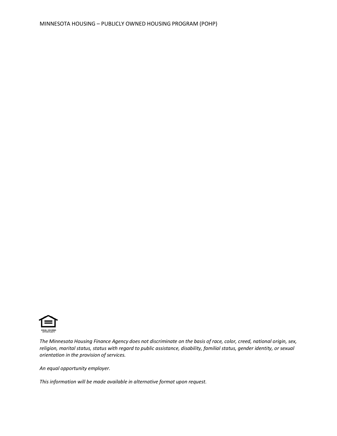

*The Minnesota Housing Finance Agency does not discriminate on the basis of race, color, creed, national origin, sex, religion, marital status, status with regard to public assistance, disability, familial status, gender identity, or sexual orientation in the provision of services.*

*An equal opportunity employer.*

*This information will be made available in alternative format upon request.*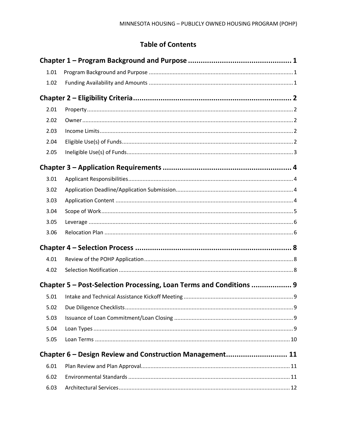# **Table of Contents**

| 1.01 |                                                                     |  |
|------|---------------------------------------------------------------------|--|
| 1.02 |                                                                     |  |
|      |                                                                     |  |
| 2.01 |                                                                     |  |
| 2.02 |                                                                     |  |
| 2.03 |                                                                     |  |
| 2.04 |                                                                     |  |
| 2.05 |                                                                     |  |
|      |                                                                     |  |
| 3.01 |                                                                     |  |
| 3.02 |                                                                     |  |
| 3.03 |                                                                     |  |
| 3.04 |                                                                     |  |
| 3.05 |                                                                     |  |
| 3.06 |                                                                     |  |
|      |                                                                     |  |
| 4.01 |                                                                     |  |
| 4.02 |                                                                     |  |
|      | Chapter 5 – Post-Selection Processing, Loan Terms and Conditions  9 |  |
| 5.01 |                                                                     |  |
| 5.02 |                                                                     |  |
| 5.03 |                                                                     |  |
| 5.04 |                                                                     |  |
| 5.05 |                                                                     |  |
|      | Chapter 6 - Design Review and Construction Management 11            |  |
| 6.01 |                                                                     |  |
| 6.02 |                                                                     |  |
| 6.03 |                                                                     |  |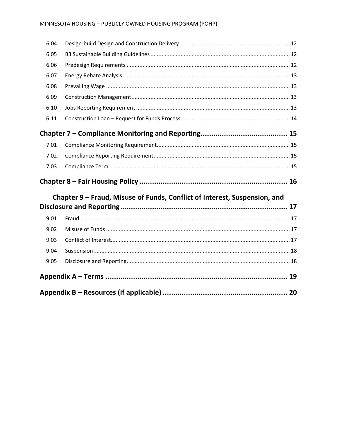| 6.04 |                                                                           |    |
|------|---------------------------------------------------------------------------|----|
| 6.05 |                                                                           |    |
| 6.06 |                                                                           |    |
| 6.07 |                                                                           |    |
| 6.08 |                                                                           |    |
| 6.09 |                                                                           |    |
| 6.10 |                                                                           |    |
| 6.11 |                                                                           |    |
|      |                                                                           |    |
| 7.01 |                                                                           |    |
| 7.02 |                                                                           |    |
|      |                                                                           |    |
| 7.03 |                                                                           |    |
|      |                                                                           |    |
|      | Chapter 9 – Fraud, Misuse of Funds, Conflict of Interest, Suspension, and |    |
|      |                                                                           |    |
| 9.01 |                                                                           |    |
| 9.02 |                                                                           |    |
| 9.03 |                                                                           |    |
| 9.04 |                                                                           |    |
| 9.05 |                                                                           |    |
|      |                                                                           | 19 |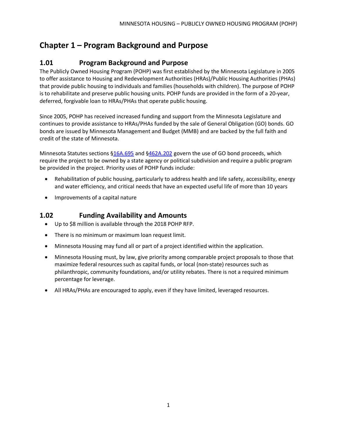# <span id="page-4-0"></span>**Chapter 1 – Program Background and Purpose**

## <span id="page-4-1"></span>**1.01 Program Background and Purpose**

The Publicly Owned Housing Program (POHP) was first established by the Minnesota Legislature in 2005 to offer assistance to Housing and Redevelopment Authorities (HRAs)/Public Housing Authorities (PHAs) that provide public housing to individuals and families (households with children). The purpose of POHP is to rehabilitate and preserve public housing units. POHP funds are provided in the form of a 20-year, deferred, forgivable loan to HRAs/PHAs that operate public housing.

Since 2005, POHP has received increased funding and support from the Minnesota Legislature and continues to provide assistance to HRAs/PHAs funded by the sale of General Obligation (GO) bonds. GO bonds are issued by Minnesota Management and Budget (MMB) and are backed by the full faith and credit of the state of Minnesota.

Minnesota Statutes sections [§16A.695](https://www.revisor.mn.gov/statutes/?id=16A.695) and [§462A.202](https://www.revisor.mn.gov/statutes/?id=462A&view=chapter#stat.462A.202) govern the use of GO bond proceeds, which require the project to be owned by a state agency or political subdivision and require a public program be provided in the project. Priority uses of POHP funds include:

- Rehabilitation of public housing, particularly to address health and life safety, accessibility, energy and water efficiency, and critical needs that have an expected useful life of more than 10 years
- Improvements of a capital nature

#### <span id="page-4-2"></span>**1.02 Funding Availability and Amounts**

- Up to \$8 million is available through the 2018 POHP RFP.
- There is no minimum or maximum loan request limit.
- Minnesota Housing may fund all or part of a project identified within the application.
- Minnesota Housing must, by law, give priority among comparable project proposals to those that maximize federal resources such as capital funds, or local (non-state) resources such as philanthropic, community foundations, and/or utility rebates. There is not a required minimum percentage for leverage.
- All HRAs/PHAs are encouraged to apply, even if they have limited, leveraged resources.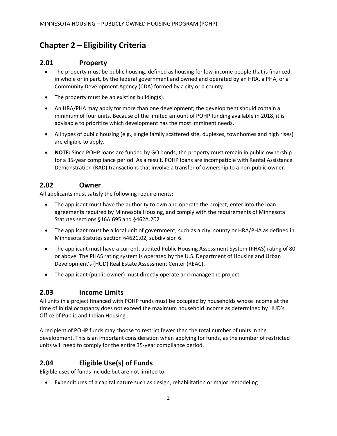## <span id="page-5-0"></span>**Chapter 2 – Eligibility Criteria**

#### <span id="page-5-1"></span>**2.01 Property**

- The property must be public housing, defined as housing for low-income people that is financed, in whole or in part, by the federal government and owned and operated by an HRA, a PHA, or a Community Development Agency (CDA) formed by a city or a county.
- The property must be an existing building(s).
- An HRA/PHA may apply for more than one development; the development should contain a minimum of four units. Because of the limited amount of POHP funding available in 2018, it is advisable to prioritize which development has the most imminent needs.
- All types of public housing (e.g., single family scattered site, duplexes, townhomes and high rises) are eligible to apply.
- **NOTE:** Since POHP loans are funded by GO bonds, the property must remain in public ownership for a 35-year compliance period. As a result, POHP loans are incompatible with Rental Assistance Demonstration (RAD) transactions that involve a transfer of ownership to a non-public owner.

#### <span id="page-5-2"></span>**2.02 Owner**

All applicants must satisfy the following requirements:

- The applicant must have the authority to own and operate the project, enter into the loan agreements required by Minnesota Housing, and comply with the requirements of Minnesota Statutes sections §16A.695 and §462A.202
- The applicant must be a local unit of government, such as a city, county or HRA/PHA as defined in Minnesota Statutes section §462C.02, subdivision 6.
- The applicant must have a current, audited Public Housing Assessment System (PHAS) rating of 80 or above. The PHAS rating system is operated by the U.S. Department of Housing and Urban Development's (HUD) Real Estate Assessment Center (REAC).
- The applicant (public owner) must directly operate and manage the project.

#### <span id="page-5-3"></span>**2.03 Income Limits**

All units in a project financed with POHP funds must be occupied by households whose income at the time of initial occupancy does not exceed the maximum household income as determined by HUD's Office of Public and Indian Housing.

A recipient of POHP funds may choose to restrict fewer than the total number of units in the development. This is an important consideration when applying for funds, as the number of restricted units will need to comply for the entire 35-year compliance period.

#### <span id="page-5-4"></span>**2.04 Eligible Use(s) of Funds**

Eligible uses of funds include but are not limited to:

• Expenditures of a capital nature such as design, rehabilitation or major remodeling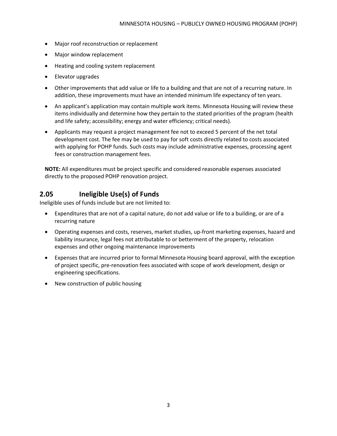- Major roof reconstruction or replacement
- Major window replacement
- Heating and cooling system replacement
- Elevator upgrades
- Other improvements that add value or life to a building and that are not of a recurring nature. In addition, these improvements must have an intended minimum life expectancy of ten years.
- An applicant's application may contain multiple work items. Minnesota Housing will review these items individually and determine how they pertain to the stated priorities of the program (health and life safety; accessibility; energy and water efficiency; critical needs).
- Applicants may request a project management fee not to exceed 5 percent of the net total development cost. The fee may be used to pay for soft costs directly related to costs associated with applying for POHP funds. Such costs may include administrative expenses, processing agent fees or construction management fees.

**NOTE:** All expenditures must be project specific and considered reasonable expenses associated directly to the proposed POHP renovation project.

#### <span id="page-6-0"></span>**2.05 Ineligible Use(s) of Funds**

Ineligible uses of funds include but are not limited to:

- Expenditures that are not of a capital nature, do not add value or life to a building, or are of a recurring nature
- Operating expenses and costs, reserves, market studies, up-front marketing expenses, hazard and liability insurance, legal fees not attributable to or betterment of the property, relocation expenses and other ongoing maintenance improvements
- Expenses that are incurred prior to formal Minnesota Housing board approval, with the exception of project specific, pre-renovation fees associated with scope of work development, design or engineering specifications.
- New construction of public housing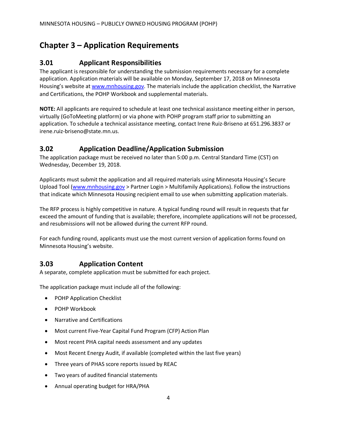## <span id="page-7-0"></span>**Chapter 3 – Application Requirements**

#### <span id="page-7-1"></span>**3.01 Applicant Responsibilities**

The applicant is responsible for understanding the submission requirements necessary for a complete application. Application materials will be available on Monday, September 17, 2018 on Minnesota Housing's website at [www.mnhousing.gov.](http://www.mnhousing.gov/sites/multifamily/pohp) The materials include the application checklist, the Narrative and Certifications, the POHP Workbook and supplemental materials.

**NOTE:** All applicants are required to schedule at least one technical assistance meeting either in person, virtually (GoToMeeting platform) or via phone with POHP program staff prior to submitting an application. To schedule a technical assistance meeting, contact Irene Ruiz-Briseno at 651.296.3837 or irene.ruiz-briseno@state.mn.us.

#### <span id="page-7-2"></span>**3.02 Application Deadline/Application Submission**

The application package must be received no later than 5:00 p.m. Central Standard Time (CST) on Wednesday, December 19, 2018.

Applicants must submit the application and all required materials using Minnesota Housing's Secure Upload Tool [\(www.mnhousing.gov](http://www.mnhousing.gov/) > Partner Login > Multifamily Applications). Follow the instructions that indicate which Minnesota Housing recipient email to use when submitting application materials.

The RFP process is highly competitive in nature. A typical funding round will result in requests that far exceed the amount of funding that is available; therefore, incomplete applications will not be processed, and resubmissions will not be allowed during the current RFP round.

For each funding round, applicants must use the most current version of application forms found on Minnesota Housing's website.

#### <span id="page-7-3"></span>**3.03 Application Content**

A separate, complete application must be submitted for each project.

The application package must include all of the following:

- POHP Application Checklist
- POHP Workbook
- Narrative and Certifications
- Most current Five-Year Capital Fund Program (CFP) Action Plan
- Most recent PHA capital needs assessment and any updates
- Most Recent Energy Audit, if available (completed within the last five years)
- Three years of PHAS score reports issued by REAC
- Two years of audited financial statements
- Annual operating budget for HRA/PHA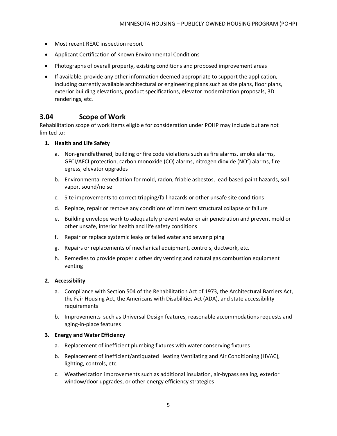- Most recent REAC inspection report
- Applicant Certification of Known Environmental Conditions
- Photographs of overall property, existing conditions and proposed improvement areas
- If available, provide any other information deemed appropriate to support the application, including currently available architectural or engineering plans such as site plans, floor plans, exterior building elevations, product specifications, elevator modernization proposals, 3D renderings, etc.

#### <span id="page-8-0"></span>**3.04 Scope of Work**

Rehabilitation scope of work items eligible for consideration under POHP may include but are not limited to:

#### **1. Health and Life Safety**

- a. Non-grandfathered, building or fire code violations such as fire alarms, smoke alarms, GFCI/AFCI protection, carbon monoxide (CO) alarms, nitrogen dioxide (NO<sup>2</sup>) alarms, fire egress, elevator upgrades
- b. Environmental remediation for mold, radon, friable asbestos, lead-based paint hazards, soil vapor, sound/noise
- c. Site improvements to correct tripping/fall hazards or other unsafe site conditions
- d. Replace, repair or remove any conditions of imminent structural collapse or failure
- e. Building envelope work to adequately prevent water or air penetration and prevent mold or other unsafe, interior health and life safety conditions
- f. Repair or replace systemic leaky or failed water and sewer piping
- g. Repairs or replacements of mechanical equipment, controls, ductwork, etc.
- h. Remedies to provide proper clothes dry venting and natural gas combustion equipment venting

#### **2. Accessibility**

- a. Compliance with Section 504 of the Rehabilitation Act of 1973, the Architectural Barriers Act, the Fair Housing Act, the Americans with Disabilities Act (ADA), and state accessibility requirements
- b. Improvements such as Universal Design features, reasonable accommodations requests and aging-in-place features

#### **3. Energy and Water Efficiency**

- a. Replacement of inefficient plumbing fixtures with water conserving fixtures
- b. Replacement of inefficient/antiquated Heating Ventilating and Air Conditioning (HVAC), lighting, controls, etc.
- c. Weatherization improvements such as additional insulation, air-bypass sealing, exterior window/door upgrades, or other energy efficiency strategies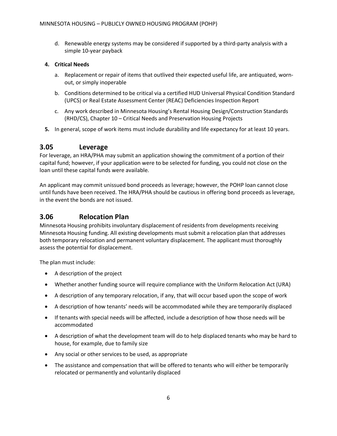d. Renewable energy systems may be considered if supported by a third-party analysis with a simple 10-year payback

#### **4. Critical Needs**

- a. Replacement or repair of items that outlived their expected useful life, are antiquated, wornout, or simply inoperable
- b. Conditions determined to be critical via a certified HUD Universal Physical Condition Standard (UPCS) or Real Estate Assessment Center (REAC) Deficiencies Inspection Report
- c. Any work described in Minnesota Housing's Rental Housing Design/Construction Standards (RHD/CS), Chapter 10 – Critical Needs and Preservation Housing Projects
- **5.** In general, scope of work items must include durability and life expectancy for at least 10 years.

#### <span id="page-9-0"></span>**3.05 Leverage**

For leverage, an HRA/PHA may submit an application showing the commitment of a portion of their capital fund; however, if your application were to be selected for funding, you could not close on the loan until these capital funds were available.

An applicant may commit unissued bond proceeds as leverage; however, the POHP loan cannot close until funds have been received. The HRA/PHA should be cautious in offering bond proceeds as leverage, in the event the bonds are not issued.

#### <span id="page-9-1"></span>**3.06 Relocation Plan**

Minnesota Housing prohibits involuntary displacement of residents from developments receiving Minnesota Housing funding. All existing developments must submit a relocation plan that addresses both temporary relocation and permanent voluntary displacement. The applicant must thoroughly assess the potential for displacement.

The plan must include:

- A description of the project
- Whether another funding source will require compliance with the Uniform Relocation Act (URA)
- A description of any temporary relocation, if any, that will occur based upon the scope of work
- A description of how tenants' needs will be accommodated while they are temporarily displaced
- If tenants with special needs will be affected, include a description of how those needs will be accommodated
- A description of what the development team will do to help displaced tenants who may be hard to house, for example, due to family size
- Any social or other services to be used, as appropriate
- The assistance and compensation that will be offered to tenants who will either be temporarily relocated or permanently and voluntarily displaced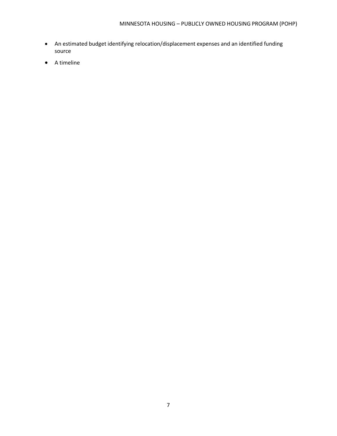- An estimated budget identifying relocation/displacement expenses and an identified funding source
- A timeline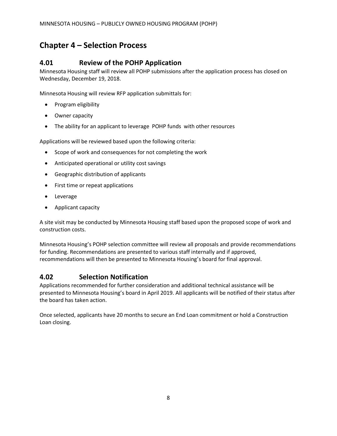## <span id="page-11-0"></span>**Chapter 4 – Selection Process**

#### <span id="page-11-1"></span>**4.01 Review of the POHP Application**

Minnesota Housing staff will review all POHP submissions after the application process has closed on Wednesday, December 19, 2018.

Minnesota Housing will review RFP application submittals for:

- Program eligibility
- Owner capacity
- The ability for an applicant to leverage POHP funds with other resources

Applications will be reviewed based upon the following criteria:

- Scope of work and consequences for not completing the work
- Anticipated operational or utility cost savings
- Geographic distribution of applicants
- First time or repeat applications
- Leverage
- Applicant capacity

A site visit may be conducted by Minnesota Housing staff based upon the proposed scope of work and construction costs.

Minnesota Housing's POHP selection committee will review all proposals and provide recommendations for funding. Recommendations are presented to various staff internally and if approved, recommendations will then be presented to Minnesota Housing's board for final approval.

#### <span id="page-11-2"></span>**4.02 Selection Notification**

Applications recommended for further consideration and additional technical assistance will be presented to Minnesota Housing's board in April 2019. All applicants will be notified of their status after the board has taken action.

Once selected, applicants have 20 months to secure an End Loan commitment or hold a Construction Loan closing.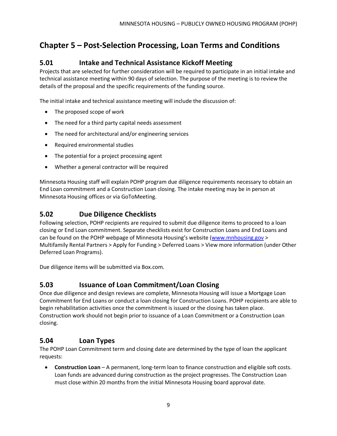## <span id="page-12-0"></span>**Chapter 5 – Post-Selection Processing, Loan Terms and Conditions**

#### <span id="page-12-1"></span>**5.01 Intake and Technical Assistance Kickoff Meeting**

Projects that are selected for further consideration will be required to participate in an initial intake and technical assistance meeting within 90 days of selection. The purpose of the meeting is to review the details of the proposal and the specific requirements of the funding source.

The initial intake and technical assistance meeting will include the discussion of:

- The proposed scope of work
- The need for a third party capital needs assessment
- The need for architectural and/or engineering services
- Required environmental studies
- The potential for a project processing agent
- Whether a general contractor will be required

Minnesota Housing staff will explain POHP program due diligence requirements necessary to obtain an End Loan commitment and a Construction Loan closing. The intake meeting may be in person at Minnesota Housing offices or via GoToMeeting.

#### <span id="page-12-2"></span>**5.02 Due Diligence Checklists**

Following selection, POHP recipients are required to submit due diligence items to proceed to a loan closing or End Loan commitment. Separate checklists exist for Construction Loans and End Loans and can be found on the POHP webpage of Minnesota Housing's website [\(www.mnhousing.gov](http://www.mnhousing.gov/) > Multifamily Rental Partners > Apply for Funding > Deferred Loans > View more information (under Other Deferred Loan Programs).

Due diligence items will be submitted via Box.com.

#### <span id="page-12-3"></span>**5.03 Issuance of Loan Commitment/Loan Closing**

Once due diligence and design reviews are complete, Minnesota Housing will issue a Mortgage Loan Commitment for End Loans or conduct a loan closing for Construction Loans. POHP recipients are able to begin rehabilitation activities once the commitment is issued or the closing has taken place. Construction work should not begin prior to issuance of a Loan Commitment or a Construction Loan closing.

#### <span id="page-12-4"></span>**5.04 Loan Types**

The POHP Loan Commitment term and closing date are determined by the type of loan the applicant requests:

• **Construction Loan** – A permanent, long-term loan to finance construction and eligible soft costs. Loan funds are advanced during construction as the project progresses. The Construction Loan must close within 20 months from the initial Minnesota Housing board approval date.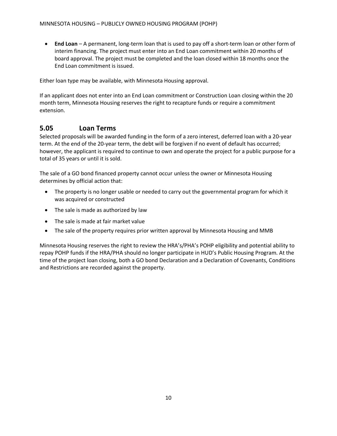• **End Loan** – A permanent, long-term loan that is used to pay off a short-term loan or other form of interim financing. The project must enter into an End Loan commitment within 20 months of board approval. The project must be completed and the loan closed within 18 months once the End Loan commitment is issued.

Either loan type may be available, with Minnesota Housing approval.

If an applicant does not enter into an End Loan commitment or Construction Loan closing within the 20 month term, Minnesota Housing reserves the right to recapture funds or require a commitment extension.

#### <span id="page-13-0"></span>**5.05 Loan Terms**

Selected proposals will be awarded funding in the form of a zero interest, deferred loan with a 20-year term. At the end of the 20-year term, the debt will be forgiven if no event of default has occurred; however, the applicant is required to continue to own and operate the project for a public purpose for a total of 35 years or until it is sold.

The sale of a GO bond financed property cannot occur unless the owner or Minnesota Housing determines by official action that:

- The property is no longer usable or needed to carry out the governmental program for which it was acquired or constructed
- The sale is made as authorized by law
- The sale is made at fair market value
- The sale of the property requires prior written approval by Minnesota Housing and MMB

Minnesota Housing reserves the right to review the HRA's/PHA's POHP eligibility and potential ability to repay POHP funds if the HRA/PHA should no longer participate in HUD's Public Housing Program. At the time of the project loan closing, both a GO bond Declaration and a Declaration of Covenants, Conditions and Restrictions are recorded against the property.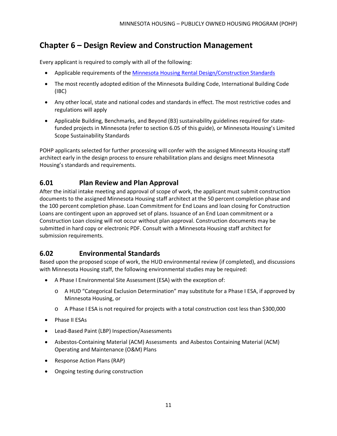## <span id="page-14-0"></span>**Chapter 6 – Design Review and Construction Management**

Every applicant is required to comply with all of the following:

- Applicable requirements of the [Minnesota Housing Rental Design/Construction Standards](http://www.mnhousing.gov/sites/multifamily/buildingstandards)
- The most recently adopted edition of the Minnesota Building Code, International Building Code (IBC)
- Any other local, state and national codes and standards in effect. The most restrictive codes and regulations will apply
- Applicable Building, Benchmarks, and Beyond (B3) sustainability guidelines required for statefunded projects in Minnesota (refer to section 6.05 of this guide), or Minnesota Housing's Limited Scope Sustainability Standards

POHP applicants selected for further processing will confer with the assigned Minnesota Housing staff architect early in the design process to ensure rehabilitation plans and designs meet Minnesota Housing's standards and requirements.

#### <span id="page-14-1"></span>**6.01 Plan Review and Plan Approval**

After the initial intake meeting and approval of scope of work, the applicant must submit construction documents to the assigned Minnesota Housing staff architect at the 50 percent completion phase and the 100 percent completion phase. Loan Commitment for End Loans and loan closing for Construction Loans are contingent upon an approved set of plans. Issuance of an End Loan commitment or a Construction Loan closing will not occur without plan approval. Construction documents may be submitted in hard copy or electronic PDF. Consult with a Minnesota Housing staff architect for submission requirements.

#### <span id="page-14-2"></span>**6.02 Environmental Standards**

Based upon the proposed scope of work, the HUD environmental review (if completed), and discussions with Minnesota Housing staff, the following environmental studies may be required:

- A Phase I Environmental Site Assessment (ESA) with the exception of:
	- o A HUD "Categorical Exclusion Determination" may substitute for a Phase I ESA, if approved by Minnesota Housing, or
	- o A Phase I ESA is not required for projects with a total construction cost less than \$300,000
- Phase II ESAs
- Lead-Based Paint (LBP) Inspection/Assessments
- Asbestos-Containing Material (ACM) Assessments and Asbestos Containing Material (ACM) Operating and Maintenance (O&M) Plans
- Response Action Plans (RAP)
- Ongoing testing during construction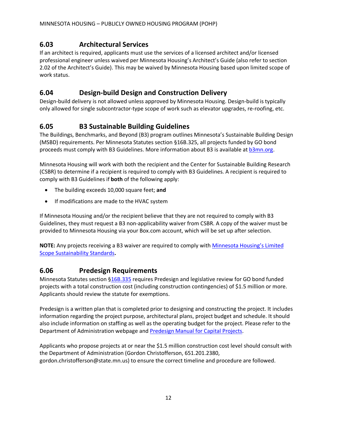## <span id="page-15-0"></span>**6.03 Architectural Services**

If an architect is required, applicants must use the services of a licensed architect and/or licensed professional engineer unless waived per Minnesota Housing's Architect's Guide (also refer to section 2.02 of the Architect's Guide). This may be waived by Minnesota Housing based upon limited scope of work status.

#### <span id="page-15-1"></span>**6.04 Design-build Design and Construction Delivery**

Design-build delivery is not allowed unless approved by Minnesota Housing. Design-build is typically only allowed for single subcontractor-type scope of work such as elevator upgrades, re-roofing, etc.

#### <span id="page-15-2"></span>**6.05 B3 Sustainable Building Guidelines**

The Buildings, Benchmarks, and Beyond (B3) program outlines Minnesota's Sustainable Building Design (MSBD) requirements. Per Minnesota Statutes section §16B.325, all projects funded by GO bond proceeds must comply with B3 Guidelines. More information about B3 is available a[t b3mn.org.](http://b3mn.org/)

Minnesota Housing will work with both the recipient and the Center for Sustainable Building Research (CSBR) to determine if a recipient is required to comply with B3 Guidelines. A recipient is required to comply with B3 Guidelines if **both** of the following apply:

- The building exceeds 10,000 square feet; **and**
- If modifications are made to the HVAC system

If Minnesota Housing and/or the recipient believe that they are not required to comply with B3 Guidelines, they must request a B3 non-applicability waiver from CSBR. A copy of the waiver must be provided to Minnesota Housing via your Box.com account, which will be set up after selection.

**NOTE:** Any projects receiving a B3 waiver are required to comply with [Minnesota Housing's Limited](http://www.mnhousing.gov/sites/multifamily/buildingstandards)  [Scope Sustainability Standards](http://www.mnhousing.gov/sites/multifamily/buildingstandards)**.**

#### <span id="page-15-3"></span>**6.06 Predesign Requirements**

Minnesota Statutes section [§16B.335](https://www.revisor.mn.gov/statutes/?id=16B.335) requires Predesign and legislative review for GO bond funded projects with a total construction cost (including construction contingencies) of \$1.5 million or more. Applicants should review the statute for exemptions.

Predesign is a written plan that is completed prior to designing and constructing the project. It includes information regarding the project purpose, architectural plans, project budget and schedule. It should also include information on staffing as well as the operating budget for the project. Please refer to the Department of Administration webpage and [Predesign Manual for Capital Projects.](http://www.mn.gov/admin/images/RECS-CS-Predesign%2520Manual%2520-5th%2520Ed%2520FINAL%2520Feb2010.pdf)

Applicants who propose projects at or near the \$1.5 million construction cost level should consult with the Department of Administration (Gordon Christofferson, 651.201.2380, gordon.christofferson@state.mn.us) to ensure the correct timeline and procedure are followed.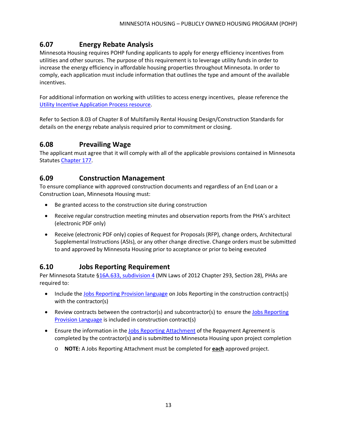## <span id="page-16-0"></span>**6.07 Energy Rebate Analysis**

Minnesota Housing requires POHP funding applicants to apply for energy efficiency incentives from utilities and other sources. The purpose of this requirement is to leverage utility funds in order to increase the energy efficiency in affordable housing properties throughout Minnesota. In order to comply, each application must include information that outlines the type and amount of the available incentives.

For additional information on working with utilities to access energy incentives, please reference the [Utility Incentive Application Process resource.](http://www.mnhousing.gov/get/MHFA_1044247)

Refer to Section 8.03 of Chapter 8 of Multifamily Rental Housing Design/Construction Standards for details on the energy rebate analysis required prior to commitment or closing.

#### <span id="page-16-1"></span>**6.08 Prevailing Wage**

The applicant must agree that it will comply with all of the applicable provisions contained in Minnesota Statutes [Chapter 177.](https://www.revisor.mn.gov/statutes/?id=177.42)

#### <span id="page-16-2"></span>**6.09 Construction Management**

To ensure compliance with approved construction documents and regardless of an End Loan or a Construction Loan, Minnesota Housing must:

- Be granted access to the construction site during construction
- Receive regular construction meeting minutes and observation reports from the PHA's architect (electronic PDF only)
- Receive (electronic PDF only) copies of Request for Proposals (RFP), change orders, Architectural Supplemental Instructions (ASIs), or any other change directive. Change orders must be submitted to and approved by Minnesota Housing prior to acceptance or prior to being executed

#### <span id="page-16-3"></span>**6.10 Jobs Reporting Requirement**

Per Minnesota Statute [§16A.633, subdivision 4](https://www.revisor.mn.gov/statutes/?id=16A.633) (MN Laws of 2012 Chapter 293, Section 28), PHAs are required to:

- Include the [Jobs Reporting Provision language](http://www.mnhousing.gov/download/MHFA_1017206) on Jobs Reporting in the construction contract(s) with the contractor(s)
- Review contracts between the contractor(s) and subcontractor(s) to ensure the [Jobs Reporting](http://www.mnhousing.gov/download/MHFA_1017206)  [Provision Language](http://www.mnhousing.gov/download/MHFA_1017206) is included in construction contract(s)
- Ensure the information in th[e Jobs Reporting Attachment](http://www.mnhousing.gov/download/MHFA_1017207) of the Repayment Agreement is completed by the contractor(s) and is submitted to Minnesota Housing upon project completion
	- o **NOTE:** A Jobs Reporting Attachment must be completed for **each** approved project.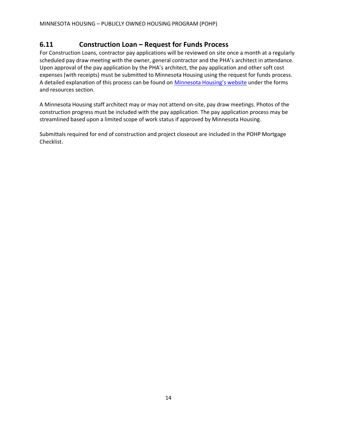#### <span id="page-17-0"></span>**6.11 Construction Loan – Request for Funds Process**

For Construction Loans, contractor pay applications will be reviewed on site once a month at a regularly scheduled pay draw meeting with the owner, general contractor and the PHA's architect in attendance. Upon approval of the pay application by the PHA's architect, the pay application and other soft cost expenses (with receipts) must be submitted to Minnesota Housing using the request for funds process. A detailed explanation of this process can be found on [Minnesota Housing's website](http://www.mnhousing.gov/sites/multifamily/pohp) under the forms and resources section.

A Minnesota Housing staff architect may or may not attend on-site, pay draw meetings. Photos of the construction progress must be included with the pay application. The pay application process may be streamlined based upon a limited scope of work status if approved by Minnesota Housing.

Submittals required for end of construction and project closeout are included in the POHP Mortgage Checklist.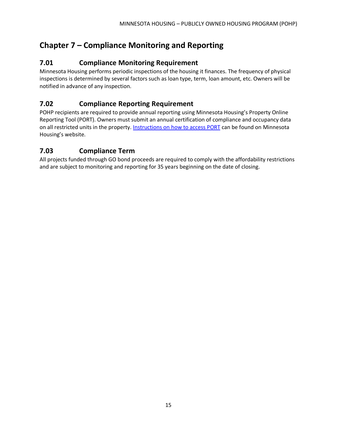# <span id="page-18-0"></span>**Chapter 7 – Compliance Monitoring and Reporting**

#### <span id="page-18-1"></span>**7.01 Compliance Monitoring Requirement**

Minnesota Housing performs periodic inspections of the housing it finances. The frequency of physical inspections is determined by several factors such as loan type, term, loan amount, etc. Owners will be notified in advance of any inspection.

## <span id="page-18-2"></span>**7.02 Compliance Reporting Requirement**

POHP recipients are required to provide annual reporting using Minnesota Housing's Property Online Reporting Tool (PORT). Owners must submit an annual certification of compliance and occupancy data on all restricted units in the property. [Instructions on how to access PORT](http://www.mnhousing.gov/sites/multifamily/compliance) can be found on Minnesota Housing's website.

## <span id="page-18-3"></span>**7.03 Compliance Term**

All projects funded through GO bond proceeds are required to comply with the affordability restrictions and are subject to monitoring and reporting for 35 years beginning on the date of closing.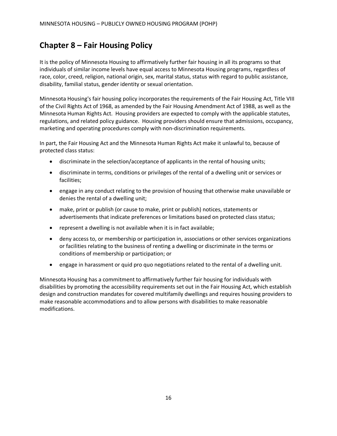## <span id="page-19-0"></span>**Chapter 8 – Fair Housing Policy**

It is the policy of Minnesota Housing to affirmatively further fair housing in all its programs so that individuals of similar income levels have equal access to Minnesota Housing programs, regardless of race, color, creed, religion, national origin, sex, marital status, status with regard to public assistance, disability, familial status, gender identity or sexual orientation.

Minnesota Housing's fair housing policy incorporates the requirements of the Fair Housing Act, Title VIII of the Civil Rights Act of 1968, as amended by the Fair Housing Amendment Act of 1988, as well as the Minnesota Human Rights Act. Housing providers are expected to comply with the applicable statutes, regulations, and related policy guidance. Housing providers should ensure that admissions, occupancy, marketing and operating procedures comply with non-discrimination requirements.

In part, the Fair Housing Act and the Minnesota Human Rights Act make it unlawful to, because of protected class status:

- discriminate in the selection/acceptance of applicants in the rental of housing units;
- discriminate in terms, conditions or privileges of the rental of a dwelling unit or services or facilities;
- engage in any conduct relating to the provision of housing that otherwise make unavailable or denies the rental of a dwelling unit;
- make, print or publish (or cause to make, print or publish) notices, statements or advertisements that indicate preferences or limitations based on protected class status;
- represent a dwelling is not available when it is in fact available;
- deny access to, or membership or participation in, associations or other services organizations or facilities relating to the business of renting a dwelling or discriminate in the terms or conditions of membership or participation; or
- engage in harassment or quid pro quo negotiations related to the rental of a dwelling unit.

Minnesota Housing has a commitment to affirmatively further fair housing for individuals with disabilities by promoting the accessibility requirements set out in the Fair Housing Act, which establish design and construction mandates for covered multifamily dwellings and requires housing providers to make reasonable accommodations and to allow persons with disabilities to make reasonable modifications.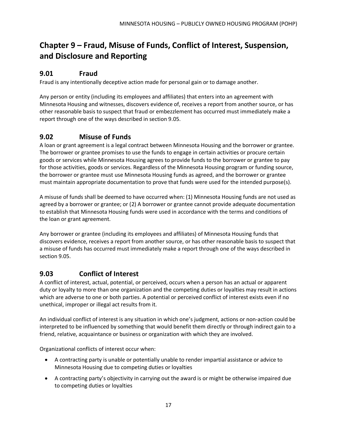# <span id="page-20-0"></span>**Chapter 9 – Fraud, Misuse of Funds, Conflict of Interest, Suspension, and Disclosure and Reporting**

#### <span id="page-20-1"></span>**9.01 Fraud**

Fraud is any intentionally deceptive action made for personal gain or to damage another.

Any person or entity (including its employees and affiliates) that enters into an agreement with Minnesota Housing and witnesses, discovers evidence of, receives a report from another source, or has other reasonable basis to suspect that fraud or embezzlement has occurred must immediately make a report through one of the ways described in section 9.05.

#### <span id="page-20-2"></span>**9.02 Misuse of Funds**

A loan or grant agreement is a legal contract between Minnesota Housing and the borrower or grantee. The borrower or grantee promises to use the funds to engage in certain activities or procure certain goods or services while Minnesota Housing agrees to provide funds to the borrower or grantee to pay for those activities, goods or services. Regardless of the Minnesota Housing program or funding source, the borrower or grantee must use Minnesota Housing funds as agreed, and the borrower or grantee must maintain appropriate documentation to prove that funds were used for the intended purpose(s).

A misuse of funds shall be deemed to have occurred when: (1) Minnesota Housing funds are not used as agreed by a borrower or grantee; or (2) A borrower or grantee cannot provide adequate documentation to establish that Minnesota Housing funds were used in accordance with the terms and conditions of the loan or grant agreement.

Any borrower or grantee (including its employees and affiliates) of Minnesota Housing funds that discovers evidence, receives a report from another source, or has other reasonable basis to suspect that a misuse of funds has occurred must immediately make a report through one of the ways described in section 9.05.

#### <span id="page-20-3"></span>**9.03 Conflict of Interest**

A conflict of interest, actual, potential, or perceived, occurs when a person has an actual or apparent duty or loyalty to more than one organization and the competing duties or loyalties may result in actions which are adverse to one or both parties. A potential or perceived conflict of interest exists even if no unethical, improper or illegal act results from it.

An individual conflict of interest is any situation in which one's judgment, actions or non-action could be interpreted to be influenced by something that would benefit them directly or through indirect gain to a friend, relative, acquaintance or business or organization with which they are involved.

Organizational conflicts of interest occur when:

- A contracting party is unable or potentially unable to render impartial assistance or advice to Minnesota Housing due to competing duties or loyalties
- A contracting party's objectivity in carrying out the award is or might be otherwise impaired due to competing duties or loyalties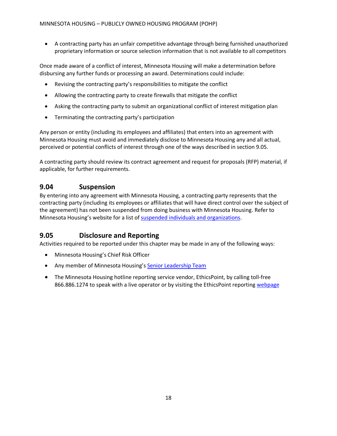• A contracting party has an unfair competitive advantage through being furnished unauthorized proprietary information or source selection information that is not available to all competitors

Once made aware of a conflict of interest, Minnesota Housing will make a determination before disbursing any further funds or processing an award. Determinations could include:

- Revising the contracting party's responsibilities to mitigate the conflict
- Allowing the contracting party to create firewalls that mitigate the conflict
- Asking the contracting party to submit an organizational conflict of interest mitigation plan
- Terminating the contracting party's participation

Any person or entity (including its employees and affiliates) that enters into an agreement with Minnesota Housing must avoid and immediately disclose to Minnesota Housing any and all actual, perceived or potential conflicts of interest through one of the ways described in section 9.05.

A contracting party should review its contract agreement and request for proposals (RFP) material, if applicable, for further requirements.

#### <span id="page-21-0"></span>**9.04 Suspension**

By entering into any agreement with Minnesota Housing, a contracting party represents that the contracting party (including its employees or affiliates that will have direct control over the subject of the agreement) has not been suspended from doing business with Minnesota Housing. Refer to Minnesota Housing's website for a list of [suspended individuals and organizations.](http://www.mnhousing.gov/sites/np/suspensions)

#### <span id="page-21-1"></span>**9.05 Disclosure and Reporting**

Activities required to be reported under this chapter may be made in any of the following ways:

- Minnesota Housing's Chief Risk Officer
- Any member of Minnesota Housing'[s Senior Leadership Team](http://www.mnhousing.gov/sites/np/leadership)
- The Minnesota Housing hotline reporting service vendor, EthicsPoint, by calling toll-free 866.886.1274 to speak with a live operator or by visiting the EthicsPoint reporting [webpage](https://secure.ethicspoint.com/domain/media/en/gui/30639/index.html)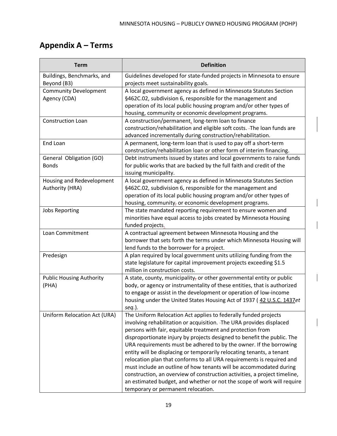# <span id="page-22-0"></span>**Appendix A – Terms**

| <b>Term</b>                               | <b>Definition</b>                                                                                            |
|-------------------------------------------|--------------------------------------------------------------------------------------------------------------|
| Buildings, Benchmarks, and<br>Beyond (B3) | Guidelines developed for state-funded projects in Minnesota to ensure<br>projects meet sustainability goals. |
| <b>Community Development</b>              | A local government agency as defined in Minnesota Statutes Section                                           |
| Agency (CDA)                              | §462C.02, subdivision 6, responsible for the management and                                                  |
|                                           | operation of its local public housing program and/or other types of                                          |
|                                           | housing, community or economic development programs.                                                         |
| Construction Loan                         | A construction/permanent, long-term loan to finance                                                          |
|                                           | construction/rehabilitation and eligible soft costs. - The loan funds are                                    |
|                                           | advanced incrementally during construction/rehabilitation.                                                   |
| End Loan                                  | A permanent, long-term loan that is used to pay off a short-term                                             |
|                                           | construction/rehabilitation loan or other form of interim financing.                                         |
| General Obligation (GO)                   | Debt instruments issued by states and local governments to raise funds                                       |
| <b>Bonds</b>                              | for public works that are backed by the full faith and credit of the<br>issuing municipality.                |
| Housing and Redevelopment                 | A local government agency as defined in Minnesota Statutes Section                                           |
| Authority (HRA)                           | §462C.02, subdivision 6, responsible for the management and                                                  |
|                                           | operation of its local public housing program and/or other types of                                          |
|                                           | housing, community, or economic development programs.                                                        |
| <b>Jobs Reporting</b>                     | The state mandated reporting requirement to ensure women and                                                 |
|                                           | minorities have equal access to jobs created by Minnesota Housing                                            |
|                                           | funded projects.                                                                                             |
| Loan Commitment                           | A contractual agreement between Minnesota Housing and the                                                    |
|                                           | borrower that sets forth the terms under which Minnesota Housing will                                        |
|                                           | lend funds to the borrower for a project.                                                                    |
| Predesign                                 | A plan required by local government units utilizing funding from the                                         |
|                                           | state legislature for capital improvement projects exceeding \$1.5<br>million in construction costs.         |
| <b>Public Housing Authority</b>           | A state, county, municipality, or other governmental entity or public                                        |
| (PHA)                                     | body, or agency or instrumentality of these entities, that is authorized                                     |
|                                           | to engage or assist in the development or operation of low-income                                            |
|                                           | housing under the United States Housing Act of 1937 (42 U.S.C. 1437et                                        |
|                                           | $seq.$ ).                                                                                                    |
| Uniform Relocation Act (URA)              | The Uniform Relocation Act applies to federally funded projects                                              |
|                                           | involving rehabilitation or acquisition. - The URA provides displaced                                        |
|                                           | persons with fair, equitable treatment and protection from                                                   |
|                                           | disproportionate injury by projects designed to benefit the public. The                                      |
|                                           | URA requirements must be adhered to by the owner. If the borrowing                                           |
|                                           | entity will be displacing or temporarily relocating tenants, a tenant                                        |
|                                           | relocation plan that conforms to all URA requirements is required and                                        |
|                                           | must include an outline of how tenants will be accommodated during                                           |
|                                           | construction, an overview of construction activities, a project timeline,                                    |
|                                           | an estimated budget, and whether or not the scope of work will require                                       |
|                                           | temporary or permanent relocation.                                                                           |